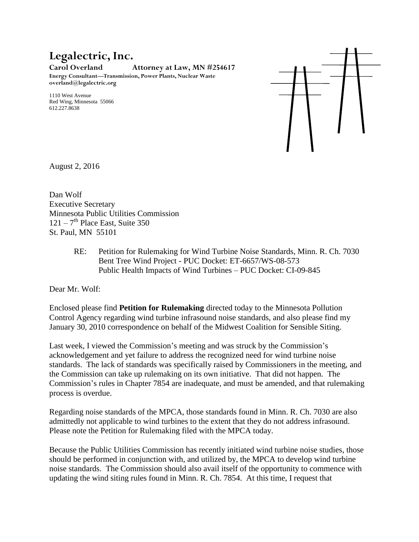## **Legalectric, Inc.**

**Carol Overland Attorney at Law, MN #254617**

**Energy Consultant—Transmission, Power Plants, Nuclear Waste overland@legalectric.org**

1110 West Avenue Red Wing, Minnesota 55066 612.227.8638



August 2, 2016

Dan Wolf Executive Secretary Minnesota Public Utilities Commission  $121 - 7$ <sup>th</sup> Place East, Suite 350 St. Paul, MN 55101

> RE: Petition for Rulemaking for Wind Turbine Noise Standards, Minn. R. Ch. 7030 Bent Tree Wind Project - PUC Docket: ET-6657/WS-08-573 Public Health Impacts of Wind Turbines – PUC Docket: CI-09-845

Dear Mr. Wolf:

Enclosed please find **Petition for Rulemaking** directed today to the Minnesota Pollution Control Agency regarding wind turbine infrasound noise standards, and also please find my January 30, 2010 correspondence on behalf of the Midwest Coalition for Sensible Siting.

Last week, I viewed the Commission's meeting and was struck by the Commission's acknowledgement and yet failure to address the recognized need for wind turbine noise standards. The lack of standards was specifically raised by Commissioners in the meeting, and the Commission can take up rulemaking on its own initiative. That did not happen. The Commission's rules in Chapter 7854 are inadequate, and must be amended, and that rulemaking process is overdue.

Regarding noise standards of the MPCA, those standards found in Minn. R. Ch. 7030 are also admittedly not applicable to wind turbines to the extent that they do not address infrasound. Please note the Petition for Rulemaking filed with the MPCA today.

Because the Public Utilities Commission has recently initiated wind turbine noise studies, those should be performed in conjunction with, and utilized by, the MPCA to develop wind turbine noise standards. The Commission should also avail itself of the opportunity to commence with updating the wind siting rules found in Minn. R. Ch. 7854. At this time, I request that